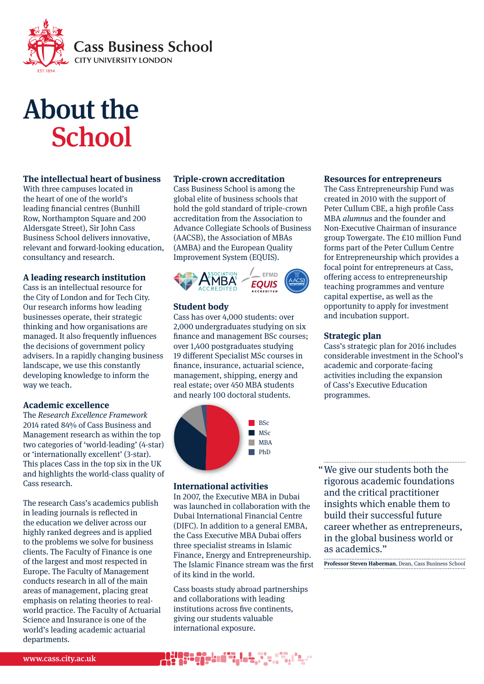

# About the **School**

### **The intellectual heart of business**

With three campuses located in the heart of one of the world's leading financial centres (Bunhill Row, Northampton Square and 200 Aldersgate Street), Sir John Cass Business School delivers innovative, relevant and forward-looking education, consultancy and research.

### **A leading research institution**

Cass is an intellectual resource for the City of London and for Tech City. Our research informs how leading businesses operate, their strategic thinking and how organisations are managed. It also frequently influences the decisions of government policy advisers. In a rapidly changing business landscape, we use this constantly developing knowledge to inform the way we teach.

### **Academic excellence**

The Research Excellence Framework 2014 rated 84% of Cass Business and Management research as within the top two categories of 'world-leading' (4-star) or 'internationally excellent' (3-star). This places Cass in the top six in the UK and highlights the world-class quality of Cass research.

The research Cass's academics publish in leading journals is reflected in the education we deliver across our highly ranked degrees and is applied to the problems we solve for business clients. The Faculty of Finance is one of the largest and most respected in Europe. The Faculty of Management conducts research in all of the main areas of management, placing great emphasis on relating theories to realworld practice. The Faculty of Actuarial Science and Insurance is one of the world's leading academic actuarial departments.

### **Triple-crown accreditation**

Cass Business School is among the global elite of business schools that hold the gold standard of triple-crown accreditation from the Association to Advance Collegiate Schools of Business (AACSB), the Association of MBAs (AMBA) and the European Quality Improvement System (EQUIS).



### **Student body**

Cass has over 4,000 students: over 2,000 undergraduates studying on six finance and management BSc courses; over 1,400 postgraduates studying 19 different Specialist MSc courses in finance, insurance, actuarial science, management, shipping, energy and real estate; over 450 MBA students and nearly 100 doctoral students.



### **International activities**

In 2007, the Executive MBA in Dubai was launched in collaboration with the Dubai International Financial Centre (DIFC). In addition to a general EMBA, the Cass Executive MBA Dubai offers three specialist streams in Islamic Finance, Energy and Entrepreneurship. The Islamic Finance stream was the first of its kind in the world.

Cass boasts study abroad partnerships and collaborations with leading institutions across five continents, giving our students valuable international exposure.

### **Resources for entrepreneurs**

The Cass Entrepreneurship Fund was created in 2010 with the support of Peter Cullum CBE, a high profile Cass MBA alumnus and the founder and Non-Executive Chairman of insurance group Towergate. The £10 million Fund forms part of the Peter Cullum Centre for Entrepreneurship which provides a focal point for entrepreneurs at Cass, offering access to entrepreneurship teaching programmes and venture capital expertise, as well as the opportunity to apply for investment and incubation support.

### **Strategic plan**

Cass's strategic plan for 2016 includes considerable investment in the School's academic and corporate-facing activities including the expansion of Cass's Executive Education programmes.

"We give our students both the rigorous academic foundations and the critical practitioner insights which enable them to build their successful future career whether as entrepreneurs, in the global business world or as academics."

**Professor Steven Haberman**, Dean, Cass Business School